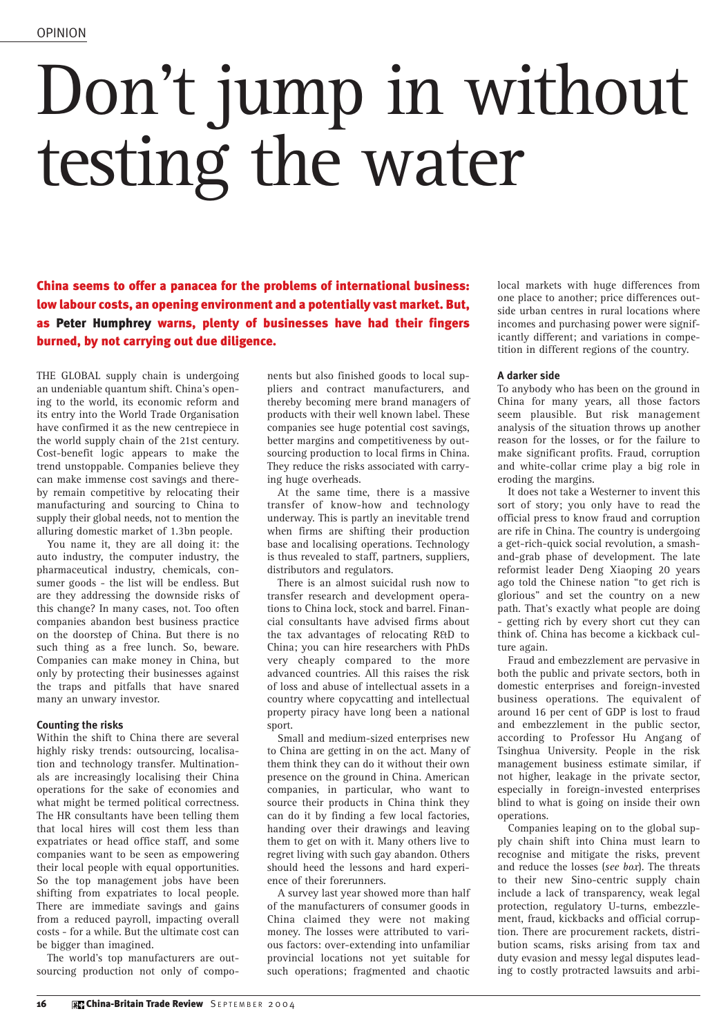## Don't jump in without testing the water

China seems to offer a panacea for the problems of international business: low labour costs, an opening environment and a potentially vast market. But, as Peter Humphrey warns, plenty of businesses have had their fingers burned, by not carrying out due diligence.

THE GLOBAL supply chain is undergoing an undeniable quantum shift. China's opening to the world, its economic reform and its entry into the World Trade Organisation have confirmed it as the new centrepiece in the world supply chain of the 21st century. Cost-benefit logic appears to make the trend unstoppable. Companies believe they can make immense cost savings and thereby remain competitive by relocating their manufacturing and sourcing to China to supply their global needs, not to mention the alluring domestic market of 1.3bn people.

You name it, they are all doing it: the auto industry, the computer industry, the pharmaceutical industry, chemicals, consumer goods - the list will be endless. But are they addressing the downside risks of this change? In many cases, not. Too often companies abandon best business practice on the doorstep of China. But there is no such thing as a free lunch. So, beware. Companies can make money in China, but only by protecting their businesses against the traps and pitfalls that have snared many an unwary investor.

## **Counting the risks**

Within the shift to China there are several highly risky trends: outsourcing, localisation and technology transfer. Multinationals are increasingly localising their China operations for the sake of economies and what might be termed political correctness. The HR consultants have been telling them that local hires will cost them less than expatriates or head office staff, and some companies want to be seen as empowering their local people with equal opportunities. So the top management jobs have been shifting from expatriates to local people. There are immediate savings and gains from a reduced payroll, impacting overall costs - for a while. But the ultimate cost can be bigger than imagined.

The world's top manufacturers are outsourcing production not only of components but also finished goods to local suppliers and contract manufacturers, and thereby becoming mere brand managers of products with their well known label. These companies see huge potential cost savings, better margins and competitiveness by outsourcing production to local firms in China. They reduce the risks associated with carrying huge overheads.

At the same time, there is a massive transfer of know-how and technology underway. This is partly an inevitable trend when firms are shifting their production base and localising operations. Technology is thus revealed to staff, partners, suppliers, distributors and regulators.

There is an almost suicidal rush now to transfer research and development operations to China lock, stock and barrel. Financial consultants have advised firms about the tax advantages of relocating R&D to China; you can hire researchers with PhDs very cheaply compared to the more advanced countries. All this raises the risk of loss and abuse of intellectual assets in a country where copycatting and intellectual property piracy have long been a national sport.

Small and medium-sized enterprises new to China are getting in on the act. Many of them think they can do it without their own presence on the ground in China. American companies, in particular, who want to source their products in China think they can do it by finding a few local factories, handing over their drawings and leaving them to get on with it. Many others live to regret living with such gay abandon. Others should heed the lessons and hard experience of their forerunners.

A survey last year showed more than half of the manufacturers of consumer goods in China claimed they were not making money. The losses were attributed to various factors: over-extending into unfamiliar provincial locations not yet suitable for such operations; fragmented and chaotic

local markets with huge differences from one place to another; price differences outside urban centres in rural locations where incomes and purchasing power were significantly different; and variations in competition in different regions of the country.

## **A darker side**

To anybody who has been on the ground in China for many years, all those factors seem plausible. But risk management analysis of the situation throws up another reason for the losses, or for the failure to make significant profits. Fraud, corruption and white-collar crime play a big role in eroding the margins.

It does not take a Westerner to invent this sort of story; you only have to read the official press to know fraud and corruption are rife in China. The country is undergoing a get-rich-quick social revolution, a smashand-grab phase of development. The late reformist leader Deng Xiaoping 20 years ago told the Chinese nation "to get rich is glorious" and set the country on a new path. That's exactly what people are doing getting rich by every short cut they can think of. China has become a kickback culture again.

Fraud and embezzlement are pervasive in both the public and private sectors, both in domestic enterprises and foreign-invested business operations. The equivalent of around 16 per cent of GDP is lost to fraud and embezzlement in the public sector, according to Professor Hu Angang of Tsinghua University. People in the risk management business estimate similar, if not higher, leakage in the private sector, especially in foreign-invested enterprises blind to what is going on inside their own operations.

Companies leaping on to the global supply chain shift into China must learn to recognise and mitigate the risks, prevent and reduce the losses (*see box*). The threats to their new Sino-centric supply chain include a lack of transparency, weak legal protection, regulatory U-turns, embezzlement, fraud, kickbacks and official corruption. There are procurement rackets, distribution scams, risks arising from tax and duty evasion and messy legal disputes leading to costly protracted lawsuits and arbi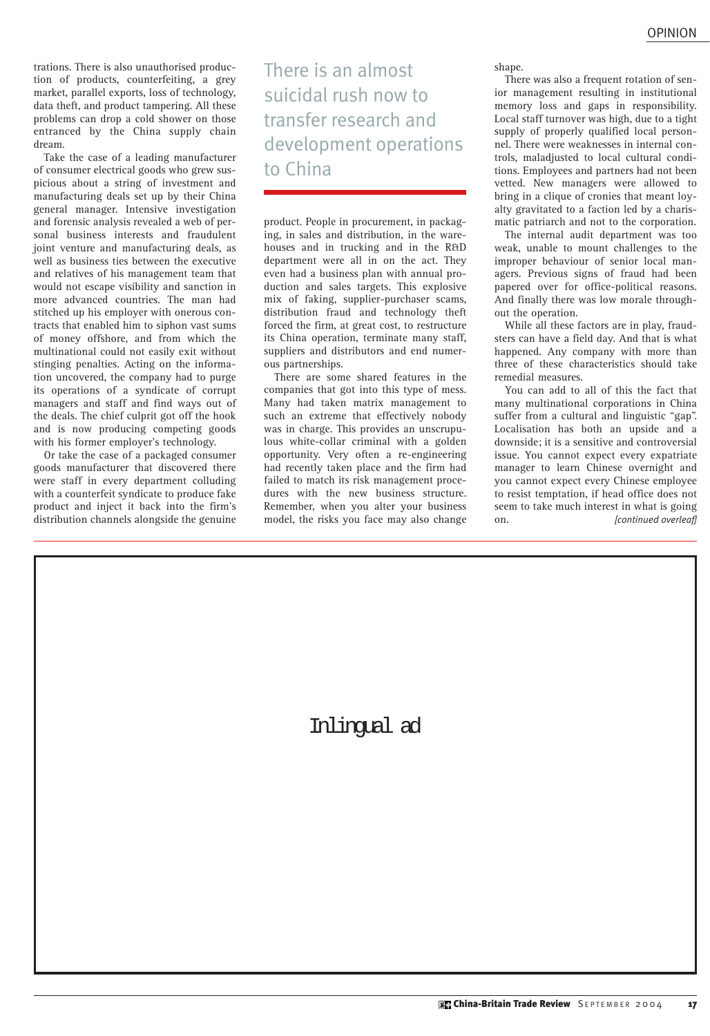trations. There is also unauthorised production of products, counterfeiting, a grey market, parallel exports, loss of technology, data theft, and product tampering. All these problems can drop a cold shower on those entranced by the China supply chain dream.

Take the case of a leading manufacturer of consumer electrical goods who grew suspicious about a string of investment and manufacturing deals set up by their China general manager. Intensive investigation and forensic analysis revealed a web of personal business interests and fraudulent joint venture and manufacturing deals, as well as business ties between the executive and relatives of his management team that would not escape visibility and sanction in more advanced countries. The man had stitched up his employer with onerous contracts that enabled him to siphon vast sums of money offshore, and from which the multinational could not easily exit without stinging penalties. Acting on the information uncovered, the company had to purge its operations of a syndicate of corrupt managers and staff and find ways out of the deals. The chief culprit got off the hook and is now producing competing goods with his former employer's technology.

Or take the case of a packaged consumer goods manufacturer that discovered there were staff in every department colluding with a counterfeit syndicate to produce fake product and inject it back into the firm's distribution channels alongside the genuine There is an almost suicidal rush now to transfer research and development operations to China

product. People in procurement, in packaging, in sales and distribution, in the warehouses and in trucking and in the R&D department were all in on the act. They even had a business plan with annual production and sales targets. This explosive mix of faking, supplier-purchaser scams, distribution fraud and technology theft forced the firm, at great cost, to restructure its China operation, terminate many staff, suppliers and distributors and end numerous partnerships.

There are some shared features in the companies that got into this type of mess. Many had taken matrix management to such an extreme that effectively nobody was in charge. This provides an unscrupulous white-collar criminal with a golden opportunity. Very often a re-engineering had recently taken place and the firm had failed to match its risk management procedures with the new business structure. Remember, when you alter your business model, the risks you face may also change

shape

There was also a frequent rotation of senior management resulting in institutional memory loss and gaps in responsibility. Local staff turnover was high, due to a tight supply of properly qualified local personnel. There were weaknesses in internal controls, maladjusted to local cultural conditions. Employees and partners had not been vetted. New managers were allowed to bring in a clique of cronies that meant loyalty gravitated to a faction led by a charismatic patriarch and not to the corporation.

The internal audit department was too weak, unable to mount challenges to the improper behaviour of senior local managers. Previous signs of fraud had been papered over for office-political reasons. And finally there was low morale throughout the operation.

While all these factors are in play, fraudsters can have a field day. And that is what happened. Any company with more than three of these characteristics should take remedial measures.

You can add to all of this the fact that many multinational corporations in China suffer from a cultural and linguistic "gap". Localisation has both an upside and a downside; it is a sensitive and controversial issue. You cannot expect every expatriate manager to learn Chinese overnight and you cannot expect every Chinese employee to resist temptation, if head office does not seem to take much interest in what is going on. *[continued overleaf]*

Inlingual ad